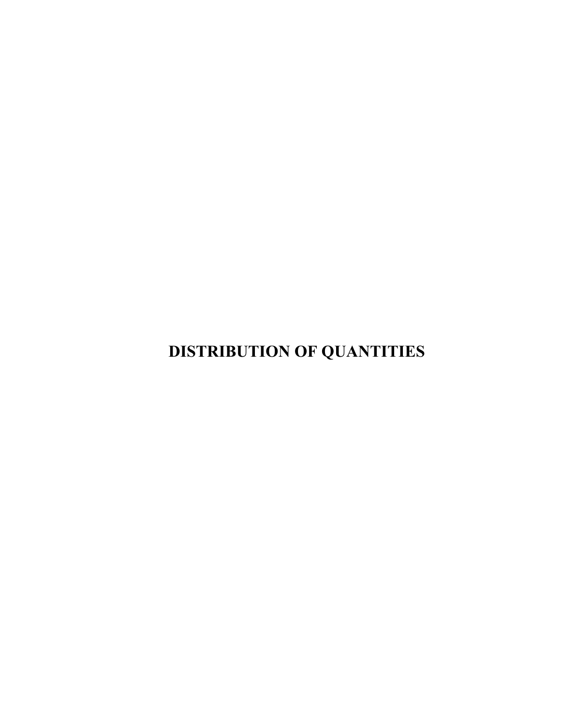**DISTRIBUTION OF QUANTITIES**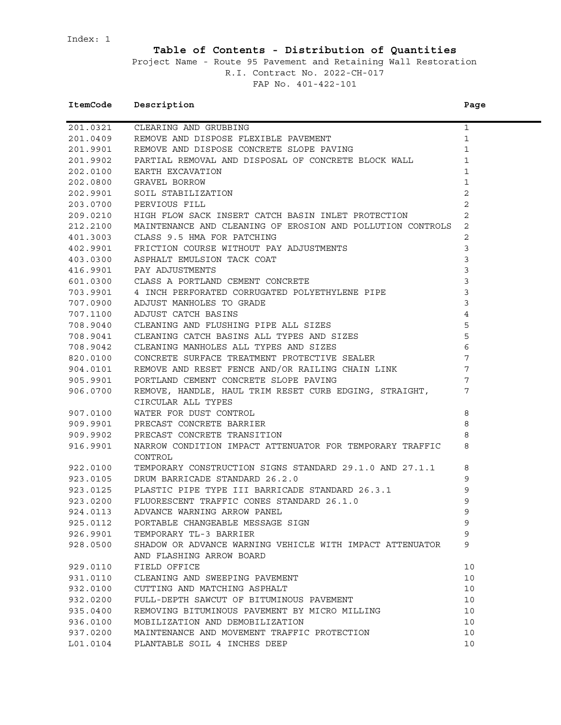Index: 1

## **Table of Contents - Distribution of Quantities**

Project Name - Route 95 Pavement and Retaining Wall Restoration R.I. Contract No. 2022-CH-017 FAP No. 401-422-101

## **ItemCode** Description **Page**

|          |                                                                                                                                                                         | $\mathbf{1}$    |
|----------|-------------------------------------------------------------------------------------------------------------------------------------------------------------------------|-----------------|
|          | 201.0321 CLEARING AND GRUBBING<br>201.0409 REMOVE AND DISPOSE FLEXIBLE PAVEMENT                                                                                         | $\mathbf 1$     |
| 201.9901 | CLEARING AND GRUBBING<br>REMOVE AND DISPOSE FLEXIBLE PAVEMENT<br>REMOVE AND DISPOSE CONCRETE SLOPE PAVING<br>PARTIAL REMOVAL AND DISPOSAL OF CONCRETE BLOCK WALL        | $\mathbf{1}$    |
| 201.9902 |                                                                                                                                                                         | $\mathbf{1}$    |
| 202.0100 | EARTH EXCAVATION                                                                                                                                                        | $\mathbf{1}$    |
| 202.0800 | GRAVEL BORROW                                                                                                                                                           | $\mathbf{1}$    |
| 202.9901 | SOIL STABILIZATION                                                                                                                                                      | 2               |
| 203.0700 | PERVIOUS FILL                                                                                                                                                           | 2               |
| 209.0210 | HIGH FLOW SACK INSERT CATCH BASIN INLET PROTECTION                                                                                                                      | $\overline{c}$  |
| 212.2100 | MAINTENANCE AND CLEANING OF EROSION AND POLLUTION CONTROLS                                                                                                              | 2               |
| 401.3003 | CLASS 9.5 HMA FOR PATCHING                                                                                                                                              | 2               |
| 402.9901 | FRICTION COURSE WITHOUT PAY ADJUSTMENTS<br>ASPHALT EMULSION TACK COAT<br>DAV ADJUSTMENTS                                                                                | $\mathsf 3$     |
| 403.0300 | ASPHALT EMULSION TACK COAT                                                                                                                                              | $\mathbf{3}$    |
| 416.9901 |                                                                                                                                                                         | $\mathfrak{Z}$  |
| 601.0300 | CLASS A PORTLAND CEMENT CONCRETE                                                                                                                                        | $\mathfrak{Z}$  |
| 703.9901 | ----<br>CLASS A PORTLAND CEMENT CONCRETE<br>4 INCH PERFORATED CORRUGATED POLYETHYLENE PIPE                                                                              | $\mathbf{3}$    |
| 707.0900 | 4 INCH PERFORAIED CONNOCITEE :-<br>ADJUST MANHOLES TO GRADE<br>ADJUST CATCH BASINS<br>CLEANING AND FLUSHING PIPE ALL SIZES<br>CLEANING CATCH BASINS ALL TYPES AND SIZES | $\mathbf{3}$    |
| 707.1100 |                                                                                                                                                                         | $\overline{4}$  |
| 708.9040 |                                                                                                                                                                         | 5               |
| 708.9041 |                                                                                                                                                                         | 5               |
| 708.9042 | CLEANING MANHOLES ALL TYPES AND SIZES                                                                                                                                   | $\epsilon$      |
| 820.0100 | CONCRETE SURFACE TREATMENT PROTECTIVE SEALER                                                                                                                            | $7\phantom{.0}$ |
| 904.0101 | REMOVE AND RESET FENCE AND/OR RAILING CHAIN LINK                                                                                                                        | $7\phantom{.0}$ |
| 905.9901 | PORTLAND CEMENT CONCRETE SLOPE PAVING                                                                                                                                   | 7               |
| 906.0700 | REMOVE, HANDLE, HAUL TRIM RESET CURB EDGING, STRAIGHT,                                                                                                                  | 7               |
|          | CIRCULAR ALL TYPES                                                                                                                                                      |                 |
| 907.0100 | WATER FOR DUST CONTROL                                                                                                                                                  | 8               |
| 909.9901 | PRECAST CONCRETE BARRIER                                                                                                                                                | 8               |
| 909.9902 | PRECAST CONCRETE TRANSITION                                                                                                                                             | 8               |
| 916.9901 | NARROW CONDITION IMPACT ATTENUATOR FOR TEMPORARY TRAFFIC                                                                                                                | 8               |
|          | CONTROL                                                                                                                                                                 |                 |
| 922.0100 | TEMPORARY CONSTRUCTION SIGNS STANDARD 29.1.0 AND 27.1.1                                                                                                                 | 8               |
| 923.0105 | DRUM BARRICADE STANDARD 26.2.0                                                                                                                                          | 9               |
| 923.0125 |                                                                                                                                                                         | 9               |
| 923.0200 | PLASTIC PIPE TYPE III BARRICADE STANDARD 26.3.1<br>FLUORESCENT TRAFFIC CONES STANDARD 26.1.0<br>FLUORESCENT TRAFFIC CONES STANDARD 26.1.0                               | 9               |
| 924.0113 | ADVANCE WARNING ARROW PANEL                                                                                                                                             | $\mathsf 9$     |
| 925.0112 | PORTABLE CHANGEABLE MESSAGE SIGN                                                                                                                                        | 9               |
| 926.9901 | TEMPORARY TL-3 BARRIER                                                                                                                                                  | 9               |
| 928.0500 | SHADOW OR ADVANCE WARNING VEHICLE WITH IMPACT ATTENUATOR                                                                                                                | 9               |
|          | AND FLASHING ARROW BOARD                                                                                                                                                |                 |
| 929.0110 | FIELD OFFICE                                                                                                                                                            | 10              |
| 931.0110 | CLEANING AND SWEEPING PAVEMENT                                                                                                                                          | 10              |
| 932.0100 | CUTTING AND MATCHING ASPHALT                                                                                                                                            | 10              |
| 932.0200 | FULL-DEPTH SAWCUT OF BITUMINOUS PAVEMENT                                                                                                                                | 10              |
| 935.0400 | REMOVING BITUMINOUS PAVEMENT BY MICRO MILLING                                                                                                                           | 10              |
| 936.0100 | MOBILIZATION AND DEMOBILIZATION                                                                                                                                         | 10              |
| 937.0200 | MAINTENANCE AND MOVEMENT TRAFFIC PROTECTION                                                                                                                             | 10              |
| L01.0104 | PLANTABLE SOIL 4 INCHES DEEP                                                                                                                                            | 10              |
|          |                                                                                                                                                                         |                 |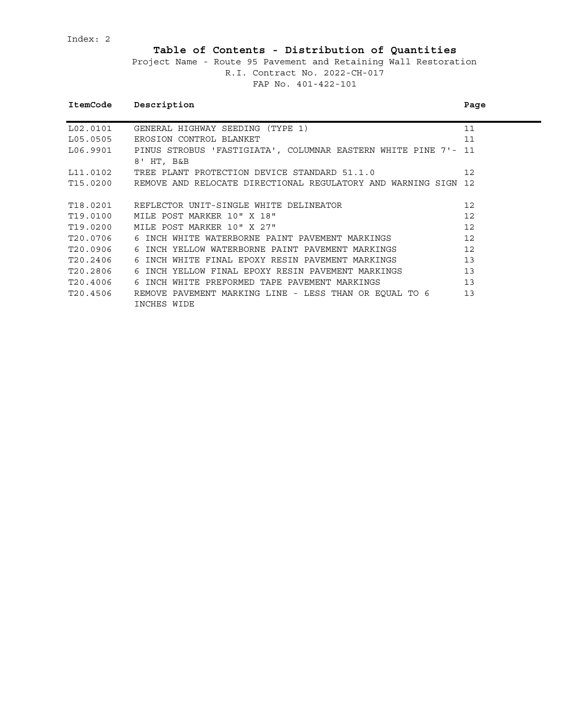Index: 2

# **Table of Contents - Distribution of Quantities**

|          | ItemCode Description                                                    | Page |
|----------|-------------------------------------------------------------------------|------|
| L02.0101 | GENERAL HIGHWAY SEEDING (TYPE 1)                                        | 11   |
| L05.0505 | EROSION CONTROL BLANKET                                                 | 11   |
|          | L06.9901 PINUS STROBUS 'FASTIGIATA', COLUMNAR EASTERN WHITE PINE 7'- 11 |      |
|          | 8' HT, B&B                                                              |      |
| L11.0102 | TREE PLANT PROTECTION DEVICE STANDARD 51.1.0                            | 12   |
| T15.0200 | REMOVE AND RELOCATE DIRECTIONAL REGULATORY AND WARNING SIGN 12          |      |
|          |                                                                         |      |
|          | T18.0201 REFLECTOR UNIT-SINGLE WHITE DELINEATOR                         | 12   |
| T19.0100 | MILE POST MARKER 10" X 18"                                              | 12   |
| T19.0200 | MILE POST MARKER 10" X 27"                                              | 12   |
| T20.0706 | 6 INCH WHITE WATERBORNE PAINT PAVEMENT MARKINGS                         | 12   |
| T20.0906 | 6 INCH YELLOW WATERBORNE PAINT PAVEMENT MARKINGS                        | 12   |
| T20.2406 | 6 INCH WHITE FINAL EPOXY RESIN PAVEMENT MARKINGS                        | 13   |
| T20.2806 | 6 INCH YELLOW FINAL EPOXY RESIN PAVEMENT MARKINGS                       | 13   |
| T20.4006 | 6 INCH WHITE PREFORMED TAPE PAVEMENT MARKINGS                           | 13   |
| T20.4506 | REMOVE PAVEMENT MARKING LINE - LESS THAN OR EOUAL TO 6                  | 13   |
|          | INCHES WIDE                                                             |      |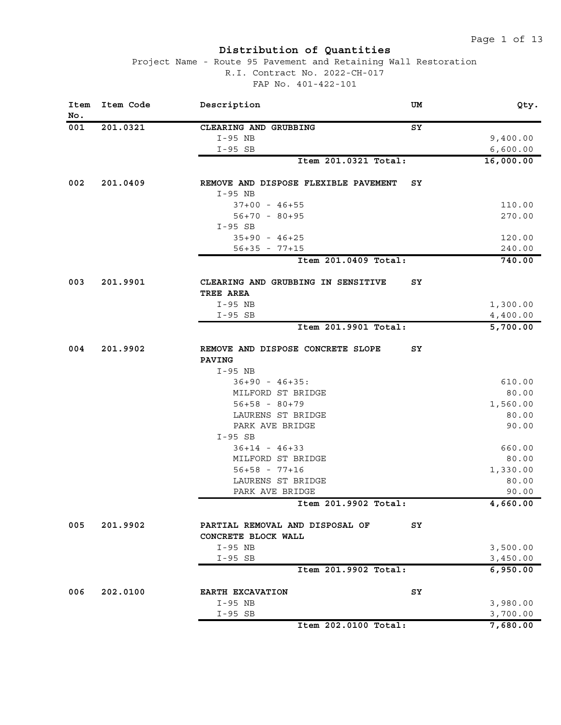| Item<br>No. | Item Code | Description<br>UM                                        | Qty.      |
|-------------|-----------|----------------------------------------------------------|-----------|
| 001         | 201.0321  | ${\tt SY}$<br>CLEARING AND GRUBBING                      |           |
|             |           | I-95 NB                                                  | 9,400.00  |
|             |           | $I-95$ SB                                                | 6,600.00  |
|             |           | Item 201.0321 Total:                                     | 16,000.00 |
| 002         | 201.0409  | REMOVE AND DISPOSE FLEXIBLE PAVEMENT<br>SY<br>$I-95$ NB  |           |
|             |           | $37+00 - 46+55$                                          | 110.00    |
|             |           | $56+70 - 80+95$                                          | 270.00    |
|             |           | $I-95$ SB                                                |           |
|             |           | $35+90 - 46+25$                                          | 120.00    |
|             |           | $56+35 - 77+15$                                          | 240.00    |
|             |           | Item 201.0409 Total:                                     | 740.00    |
| 003         | 201.9901  | SY<br>CLEARING AND GRUBBING IN SENSITIVE<br>TREE AREA    |           |
|             |           | I-95 NB                                                  | 1,300.00  |
|             |           | $I-95$ SB                                                | 4,400.00  |
|             |           | Item 201.9901 Total:                                     | 5,700.00  |
|             |           |                                                          |           |
| 004         | 201.9902  | REMOVE AND DISPOSE CONCRETE SLOPE<br>SY<br><b>PAVING</b> |           |
|             |           | $I-95$ NB                                                |           |
|             |           | $36+90 - 46+35$ :                                        | 610.00    |
|             |           | MILFORD ST BRIDGE                                        | 80.00     |
|             |           | $56+58 - 80+79$                                          | 1,560.00  |
|             |           | LAURENS ST BRIDGE                                        | 80.00     |
|             |           | PARK AVE BRIDGE                                          | 90.00     |
|             |           | $I-95$ SB                                                |           |
|             |           | $36+14 - 46+33$                                          | 660.00    |
|             |           | MILFORD ST BRIDGE                                        | 80.00     |
|             |           | $56+58 - 77+16$                                          | 1,330.00  |
|             |           | LAURENS ST BRIDGE                                        | 80.00     |
|             |           | PARK AVE BRIDGE                                          | 90.00     |
|             |           | Item 201.9902 Total:                                     | 4,660.00  |
| 005         | 201.9902  | PARTIAL REMOVAL AND DISPOSAL OF<br>SY                    |           |
|             |           | CONCRETE BLOCK WALL                                      |           |
|             |           | I-95 NB                                                  | 3,500.00  |
|             |           | $I-95$ SB                                                | 3,450.00  |
|             |           | Item 201.9902 Total:                                     | 6,950.00  |
| 006         | 202.0100  | EARTH EXCAVATION<br>SY                                   |           |
|             |           | $I-95 NB$                                                | 3,980.00  |
|             |           | $I-95$ SB                                                | 3,700.00  |
|             |           | Item 202.0100 Total:                                     | 7,680.00  |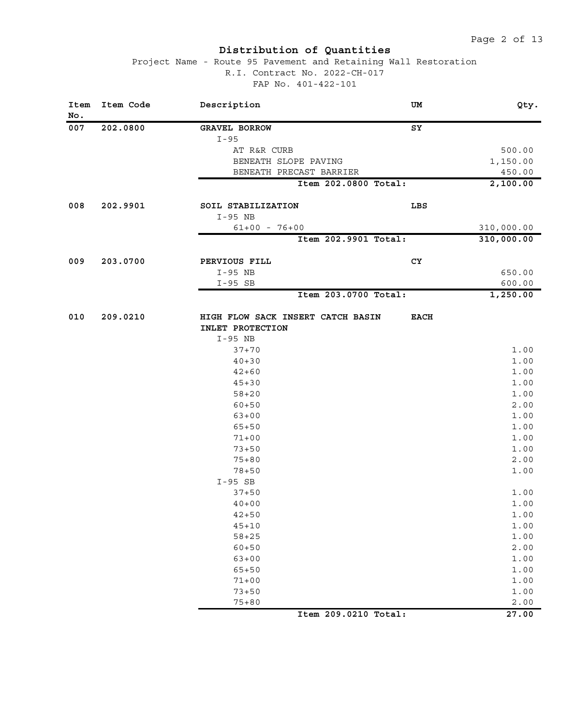| Item<br>No. | Item Code | Description                                                      | UM          | Qty.         |
|-------------|-----------|------------------------------------------------------------------|-------------|--------------|
| 007         | 202.0800  | <b>GRAVEL BORROW</b>                                             | ${\tt SY}$  |              |
|             |           | $I-95$                                                           |             |              |
|             |           | AT R&R CURB                                                      |             | 500.00       |
|             |           | BENEATH SLOPE PAVING                                             |             | 1,150.00     |
|             |           | BENEATH PRECAST BARRIER                                          |             | 450.00       |
|             |           | Item 202.0800 Total:                                             |             | 2,100.00     |
| 008         | 202.9901  | SOIL STABILIZATION                                               | LBS         |              |
|             |           | I-95 NB                                                          |             |              |
|             |           | $61+00 - 76+00$                                                  |             | 310,000.00   |
|             |           | Item 202.9901 Total:                                             |             | 310,000.00   |
| 009         | 203.0700  | PERVIOUS FILL                                                    | CY          |              |
|             |           | I-95 NB                                                          |             | 650.00       |
|             |           | $I-95$ SB                                                        |             | 600.00       |
|             |           | Item 203.0700 Total:                                             |             | 1,250.00     |
| 010         | 209.0210  | HIGH FLOW SACK INSERT CATCH BASIN<br>INLET PROTECTION<br>I-95 NB | <b>EACH</b> |              |
|             |           | $37 + 70$                                                        |             | 1.00         |
|             |           | $40 + 30$                                                        |             | 1.00         |
|             |           | $42 + 60$                                                        |             | 1.00         |
|             |           | $45 + 30$                                                        |             | 1.00         |
|             |           | $58 + 20$                                                        |             | 1.00         |
|             |           | $60 + 50$                                                        |             | 2.00         |
|             |           | $63 + 00$                                                        |             | 1.00         |
|             |           | $65 + 50$                                                        |             | 1.00         |
|             |           | $71 + 00$                                                        |             | 1.00         |
|             |           | $73 + 50$                                                        |             | 1.00         |
|             |           | $75 + 80$                                                        |             | 2.00         |
|             |           | $78 + 50$                                                        |             | 1.00         |
|             |           | $I-95$ SB                                                        |             |              |
|             |           | $37 + 50$                                                        |             | 1.00         |
|             |           | $40 + 00$                                                        |             | 1.00         |
|             |           | $42 + 50$                                                        |             | 1.00         |
|             |           | $45 + 10$                                                        |             | 1.00         |
|             |           | $58 + 25$                                                        |             | 1.00         |
|             |           | $60 + 50$                                                        |             | 2.00         |
|             |           | $63 + 00$                                                        |             | 1.00         |
|             |           | $65 + 50$                                                        |             | 1.00         |
|             |           | $71 + 00$                                                        |             | 1.00         |
|             |           | $73 + 50$<br>$75 + 80$                                           |             | 1.00<br>2.00 |
|             |           | Item 209.0210 Total:                                             |             | 27.00        |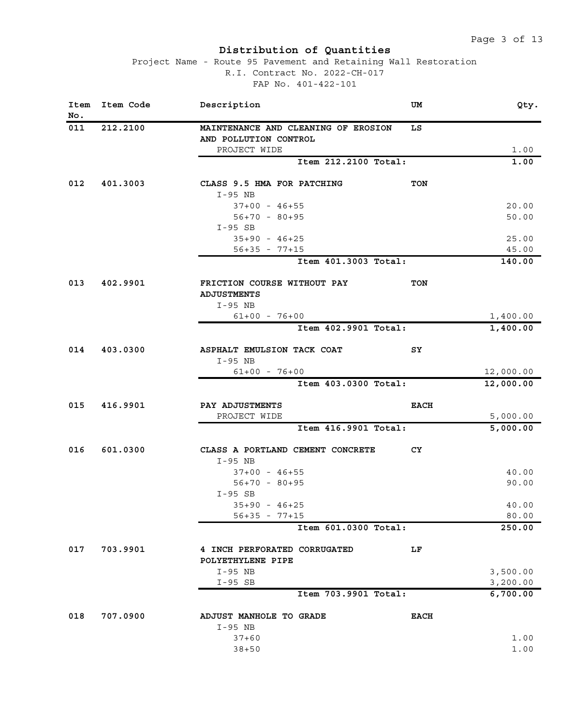| Item<br>No. | Item Code | Description                                                  | UM          | Qty.                 |
|-------------|-----------|--------------------------------------------------------------|-------------|----------------------|
| 011         | 212.2100  | MAINTENANCE AND CLEANING OF EROSION<br>AND POLLUTION CONTROL | LS          |                      |
|             |           | PROJECT WIDE                                                 |             | 1.00                 |
|             |           | Item 212.2100 Total:                                         |             | 1.00                 |
| 012         | 401.3003  | CLASS 9.5 HMA FOR PATCHING<br>I-95 NB                        | <b>TON</b>  |                      |
|             |           | $37+00 - 46+55$                                              |             | 20.00                |
|             |           | $56+70 - 80+95$                                              |             | 50.00                |
|             |           | $I-95$ SB                                                    |             |                      |
|             |           | $35+90 - 46+25$                                              |             | 25.00                |
|             |           | $56+35 - 77+15$                                              |             | 45.00                |
|             |           | Item 401.3003 Total:                                         |             | 140.00               |
| 013         | 402.9901  | FRICTION COURSE WITHOUT PAY<br><b>ADJUSTMENTS</b>            | <b>TON</b>  |                      |
|             |           | $I-95 NB$<br>$61+00 - 76+00$                                 |             |                      |
|             |           | Item 402.9901 Total:                                         |             | 1,400.00<br>1,400.00 |
|             |           |                                                              |             |                      |
| 014         | 403.0300  | ASPHALT EMULSION TACK COAT                                   | SY          |                      |
|             |           | $I-95$ NB                                                    |             |                      |
|             |           | $61+00 - 76+00$                                              |             | 12,000.00            |
|             |           | Item 403.0300 Total:                                         |             | 12,000.00            |
| 015         | 416.9901  | PAY ADJUSTMENTS                                              | <b>EACH</b> |                      |
|             |           | PROJECT WIDE                                                 |             | 5,000.00             |
|             |           | Item 416.9901 Total:                                         |             | 5,000.00             |
| 016         | 601.0300  | CLASS A PORTLAND CEMENT CONCRETE<br>$I-95$ NB                | CY          |                      |
|             |           | $37+00 - 46+55$                                              |             | 40.00                |
|             |           | $56+70 - 80+95$                                              |             | 90.00                |
|             |           | $I-95$ SB                                                    |             |                      |
|             |           | $35+90 - 46+25$                                              |             | 40.00                |
|             |           | $56+35 - 77+15$                                              |             | 80.00                |
|             |           | Item 601.0300 Total:                                         |             | 250.00               |
| 017         | 703.9901  | 4 INCH PERFORATED CORRUGATED                                 | LF          |                      |
|             |           | POLYETHYLENE PIPE                                            |             |                      |
|             |           | I-95 NB                                                      |             | 3,500.00             |
|             |           | $I-95$ SB<br>Item 703.9901 Total:                            |             | 3,200.00<br>6,700.00 |
| 018         | 707.0900  | ADJUST MANHOLE TO GRADE                                      | <b>EACH</b> |                      |
|             |           | $I-95$ NB                                                    |             |                      |
|             |           | $37 + 60$                                                    |             | 1.00                 |
|             |           | $38 + 50$                                                    |             | 1.00                 |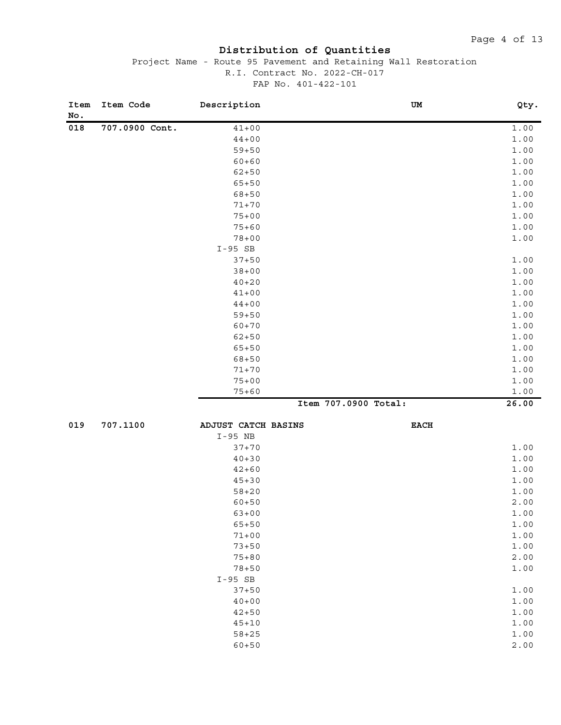| Item<br>No. | Item Code      | Description         |                      | UM          | Qty.  |
|-------------|----------------|---------------------|----------------------|-------------|-------|
| 018         | 707.0900 Cont. | $41 + 00$           |                      |             | 1.00  |
|             |                | $44 + 00$           |                      |             | 1.00  |
|             |                | $59 + 50$           |                      |             | 1.00  |
|             |                | $60 + 60$           |                      |             | 1.00  |
|             |                | $62 + 50$           |                      |             | 1.00  |
|             |                | $65 + 50$           |                      |             | 1.00  |
|             |                | $68 + 50$           |                      |             | 1.00  |
|             |                | $71 + 70$           |                      |             | 1.00  |
|             |                | $75 + 00$           |                      |             | 1.00  |
|             |                | $75 + 60$           |                      |             | 1.00  |
|             |                | $78 + 00$           |                      |             | 1.00  |
|             |                | $I-95$ SB           |                      |             |       |
|             |                | $37 + 50$           |                      |             | 1.00  |
|             |                | $38 + 00$           |                      |             | 1.00  |
|             |                | $40 + 20$           |                      |             | 1.00  |
|             |                | $41 + 00$           |                      |             | 1.00  |
|             |                | $44 + 00$           |                      |             | 1.00  |
|             |                | $59 + 50$           |                      |             | 1.00  |
|             |                | $60 + 70$           |                      |             | 1.00  |
|             |                | $62 + 50$           |                      |             | 1.00  |
|             |                | $65 + 50$           |                      |             | 1.00  |
|             |                | $68 + 50$           |                      |             | 1.00  |
|             |                | $71 + 70$           |                      |             | 1.00  |
|             |                | $75 + 00$           |                      |             | 1.00  |
|             |                | $75 + 60$           |                      |             | 1.00  |
|             |                |                     | Item 707.0900 Total: |             | 26.00 |
| 019         | 707.1100       | ADJUST CATCH BASINS |                      | <b>EACH</b> |       |
|             |                | $I-95$ NB           |                      |             |       |
|             |                | $37 + 70$           |                      |             | 1.00  |
|             |                | $40 + 30$           |                      |             | 1.00  |
|             |                | $42 + 60$           |                      |             | 1.00  |
|             |                | $45 + 30$           |                      |             | 1.00  |
|             |                | $58 + 20$           |                      |             | 1.00  |
|             |                | $60 + 50$           |                      |             | 2.00  |
|             |                | $63 + 00$           |                      |             | 1.00  |
|             |                | $65 + 50$           |                      |             | 1.00  |
|             |                | $71 + 00$           |                      |             | 1.00  |
|             |                | $73 + 50$           |                      |             | 1.00  |
|             |                | $75 + 80$           |                      |             | 2.00  |
|             |                | $78 + 50$           |                      |             | 1.00  |
|             |                | $I-95$ SB           |                      |             |       |
|             |                | $37 + 50$           |                      |             | 1.00  |
|             |                | $40 + 00$           |                      |             | 1.00  |
|             |                | $42 + 50$           |                      |             | 1.00  |
|             |                | $45 + 10$           |                      |             | 1.00  |
|             |                | $58 + 25$           |                      |             | 1.00  |
|             |                | $60 + 50$           |                      |             | 2.00  |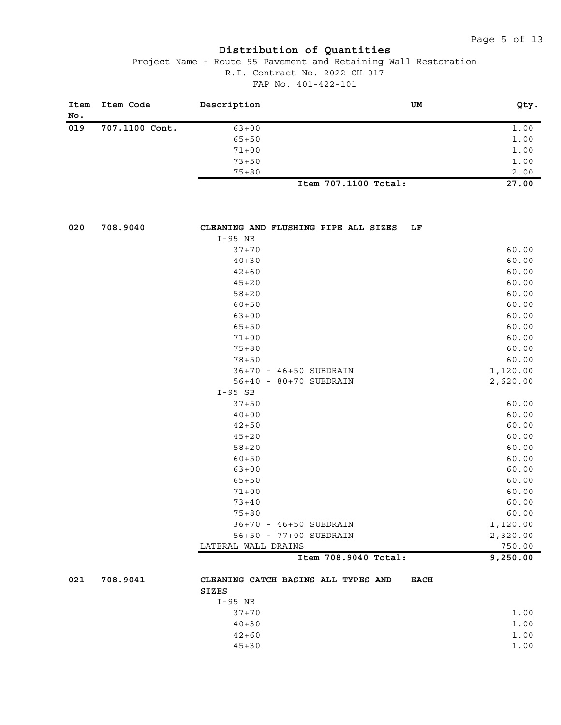| Item<br>No. | Item Code      | Description                          | UM                   | Qty.     |
|-------------|----------------|--------------------------------------|----------------------|----------|
| 019         | 707.1100 Cont. | $63 + 00$                            |                      | 1.00     |
|             |                | $65 + 50$                            |                      | 1.00     |
|             |                | $71 + 00$                            |                      | 1.00     |
|             |                | $73 + 50$                            |                      | 1.00     |
|             |                | $75 + 80$                            |                      | 2.00     |
|             |                |                                      | Item 707.1100 Total: | 27.00    |
| 020         | 708.9040       | CLEANING AND FLUSHING PIPE ALL SIZES | LF                   |          |
|             |                | I-95 NB                              |                      |          |
|             |                | $37 + 70$                            |                      | 60.00    |
|             |                | $40 + 30$                            |                      | 60.00    |
|             |                | $42 + 60$                            |                      | 60.00    |
|             |                | $45 + 20$                            |                      | 60.00    |
|             |                | $58 + 20$                            |                      | 60.00    |
|             |                | $60 + 50$                            |                      | 60.00    |
|             |                | $63 + 00$                            |                      | 60.00    |
|             |                | $65 + 50$                            |                      | 60.00    |
|             |                | $71 + 00$                            |                      | 60.00    |
|             |                | $75 + 80$                            |                      | 60.00    |
|             |                | $78 + 50$                            |                      | 60.00    |
|             |                | 36+70 - 46+50 SUBDRAIN               |                      | 1,120.00 |
|             |                | 56+40 - 80+70 SUBDRAIN               |                      | 2,620.00 |
|             |                | $I-95$ SB                            |                      |          |
|             |                | $37 + 50$                            |                      | 60.00    |
|             |                | $40 + 00$                            |                      | 60.00    |
|             |                | $42 + 50$                            |                      | 60.00    |
|             |                | $45 + 20$                            |                      | 60.00    |
|             |                | $58 + 20$                            |                      | 60.00    |
|             |                | $60 + 50$                            |                      | 60.00    |
|             |                | $63 + 00$                            |                      | 60.00    |
|             |                | $65 + 50$                            |                      | 60.00    |
|             |                | $71 + 00$                            |                      | 60.00    |
|             |                | $73 + 40$                            |                      | 60.00    |
|             |                | $75 + 80$                            |                      | 60.00    |
|             |                | 36+70 - 46+50 SUBDRAIN               |                      | 1,120.00 |
|             |                | 56+50 - 77+00 SUBDRAIN               |                      | 2,320.00 |
|             |                | LATERAL WALL DRAINS                  |                      | 750.00   |
|             |                |                                      | Item 708.9040 Total: | 9,250.00 |
| 021         | 708.9041       | CLEANING CATCH BASINS ALL TYPES AND  | <b>EACH</b>          |          |
|             |                | <b>SIZES</b>                         |                      |          |
|             |                | $I-95 NB$                            |                      |          |
|             |                | $37 + 70$                            |                      | 1.00     |
|             |                | $40 + 30$                            |                      | 1.00     |
|             |                | $42 + 60$                            |                      | 1.00     |
|             |                | $45 + 30$                            |                      | 1.00     |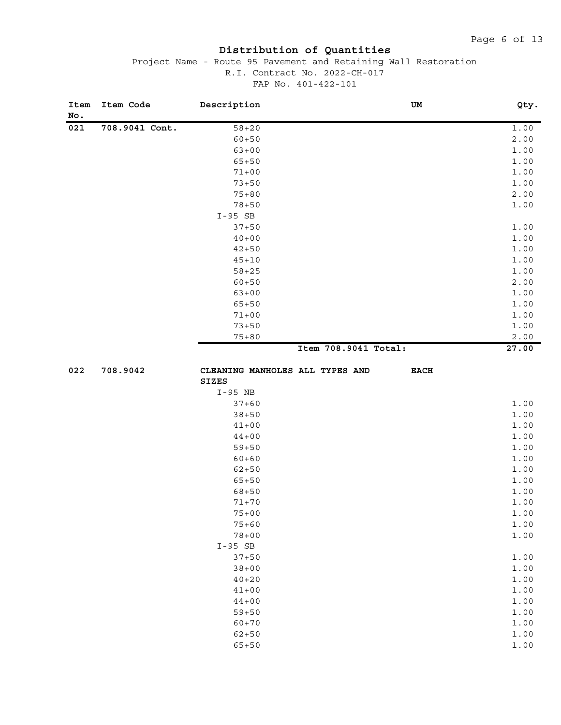| Item<br>No. | Item Code      | Description                     | UM                   | Qty.  |
|-------------|----------------|---------------------------------|----------------------|-------|
| 021         | 708.9041 Cont. | $58 + 20$                       |                      | 1.00  |
|             |                | $60 + 50$                       |                      | 2.00  |
|             |                | $63 + 00$                       |                      | 1.00  |
|             |                | $65 + 50$                       |                      | 1.00  |
|             |                | $71 + 00$                       |                      | 1.00  |
|             |                | $73 + 50$                       |                      | 1.00  |
|             |                | $75 + 80$                       |                      | 2.00  |
|             |                | $78 + 50$                       |                      | 1.00  |
|             |                | $I-95$ SB                       |                      |       |
|             |                | $37 + 50$                       |                      | 1.00  |
|             |                | $40 + 00$                       |                      | 1.00  |
|             |                | $42 + 50$                       |                      | 1.00  |
|             |                | $45 + 10$                       |                      | 1.00  |
|             |                | $58 + 25$                       |                      | 1.00  |
|             |                | $60 + 50$                       |                      | 2.00  |
|             |                | $63 + 00$                       |                      | 1.00  |
|             |                | $65 + 50$                       |                      | 1.00  |
|             |                | $71 + 00$                       |                      | 1.00  |
|             |                | $73 + 50$                       |                      | 1.00  |
|             |                | $75 + 80$                       |                      | 2.00  |
|             |                |                                 | Item 708.9041 Total: | 27.00 |
|             |                |                                 |                      |       |
| 022         | 708.9042       | CLEANING MANHOLES ALL TYPES AND | $_{\rm EACH}$        |       |
|             |                | SIZES                           |                      |       |
|             |                | $I-95$ NB                       |                      |       |
|             |                | $37 + 60$                       |                      | 1.00  |
|             |                | $38 + 50$                       |                      | 1.00  |
|             |                | $41 + 00$                       |                      | 1.00  |
|             |                | $44 + 00$                       |                      | 1.00  |
|             |                | $59 + 50$                       |                      | 1.00  |
|             |                | $60 + 60$                       |                      | 1.00  |
|             |                | $62 + 50$                       |                      | 1.00  |
|             |                | $65 + 50$                       |                      | 1.00  |
|             |                | $68 + 50$                       |                      | 1.00  |
|             |                | $71 + 70$                       |                      | 1.00  |
|             |                | $75 + 00$                       |                      | 1.00  |
|             |                | $75 + 60$                       |                      | 1.00  |
|             |                | $78 + 00$                       |                      | 1.00  |
|             |                | $I-95$ SB                       |                      |       |
|             |                | $37 + 50$                       |                      | 1.00  |
|             |                | $38 + 00$                       |                      | 1.00  |
|             |                | $40 + 20$                       |                      | 1.00  |
|             |                | $41 + 00$                       |                      | 1.00  |
|             |                | $44 + 00$                       |                      | 1.00  |
|             |                | $59 + 50$                       |                      | 1.00  |
|             |                | $60 + 70$                       |                      | 1.00  |
|             |                | $62 + 50$                       |                      | 1.00  |
|             |                | $65 + 50$                       |                      | 1.00  |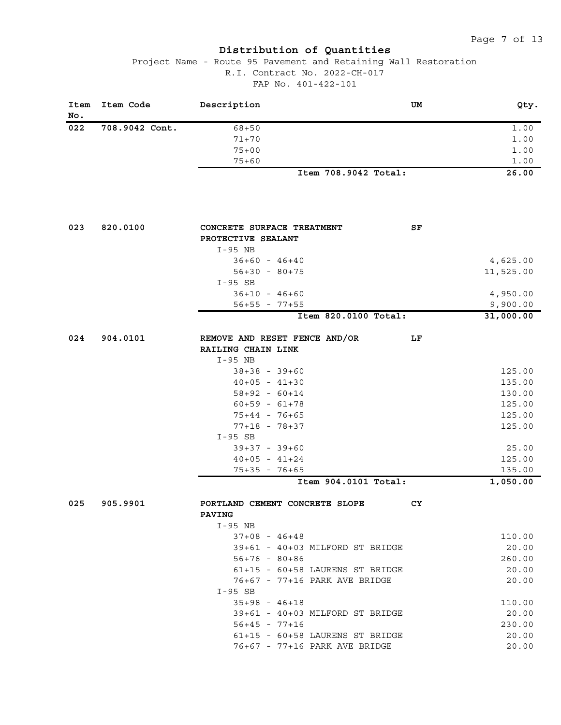| Item<br>No. | Item Code      | Description                                         | UM        | Qty.                  |
|-------------|----------------|-----------------------------------------------------|-----------|-----------------------|
| 022         | 708.9042 Cont. | $68 + 50$                                           |           | 1.00                  |
|             |                | $71 + 70$                                           |           | 1.00                  |
|             |                | $75 + 00$                                           |           | 1.00                  |
|             |                | $75 + 60$                                           |           | 1.00                  |
|             |                | Item 708.9042 Total:                                |           | 26.00                 |
| 023         | 820.0100       | CONCRETE SURFACE TREATMENT                          | SF        |                       |
|             |                | PROTECTIVE SEALANT                                  |           |                       |
|             |                | $I-95$ NB                                           |           |                       |
|             |                | $36+60 - 46+40$                                     |           | 4,625.00              |
|             |                | $56+30 - 80+75$                                     |           | 11,525.00             |
|             |                | $I-95$ SB                                           |           |                       |
|             |                | $36+10 - 46+60$                                     |           | 4,950.00              |
|             |                | $56+55 - 77+55$<br>Item 820.0100 Total:             |           | 9,900.00<br>31,000.00 |
|             |                |                                                     |           |                       |
| 024         | 904.0101       | REMOVE AND RESET FENCE AND/OR<br>RAILING CHAIN LINK | LF        |                       |
|             |                | I-95 NB                                             |           |                       |
|             |                | $38+38 - 39+60$                                     |           | 125.00                |
|             |                | $40+05 - 41+30$                                     |           | 135.00                |
|             |                | $58+92 - 60+14$                                     |           | 130.00                |
|             |                | $60+59 - 61+78$                                     |           | 125.00                |
|             |                | $75+44 - 76+65$                                     |           | 125.00                |
|             |                | $77+18 - 78+37$                                     |           | 125.00                |
|             |                | $I-95$ SB                                           |           |                       |
|             |                | $39+37 - 39+60$                                     |           | 25.00                 |
|             |                | $40+05 - 41+24$                                     |           | 125.00                |
|             |                | $75+35 - 76+65$                                     |           | 135.00                |
|             |                | Item 904.0101 Total:                                |           | 1,050.00              |
| 025         | 905.9901       | PORTLAND CEMENT CONCRETE SLOPE                      | <b>CY</b> |                       |
|             |                | <b>PAVING</b>                                       |           |                       |
|             |                | I-95 NB                                             |           |                       |
|             |                | $37+08 - 46+48$                                     |           | 110.00                |
|             |                | 39+61 - 40+03 MILFORD ST BRIDGE                     |           | 20.00                 |
|             |                | $56+76 - 80+86$                                     |           | 260.00                |
|             |                | 61+15 - 60+58 LAURENS ST BRIDGE                     |           | 20.00                 |
|             |                | 76+67 - 77+16 PARK AVE BRIDGE                       |           | 20.00                 |
|             |                | $I-95$ SB                                           |           |                       |
|             |                | $35+98 - 46+18$                                     |           | 110.00                |
|             |                | 39+61 - 40+03 MILFORD ST BRIDGE                     |           | 20.00                 |
|             |                | $56+45 - 77+16$                                     |           | 230.00                |
|             |                | 61+15 - 60+58 LAURENS ST BRIDGE                     |           | 20.00                 |
|             |                | 76+67 - 77+16 PARK AVE BRIDGE                       |           | 20.00                 |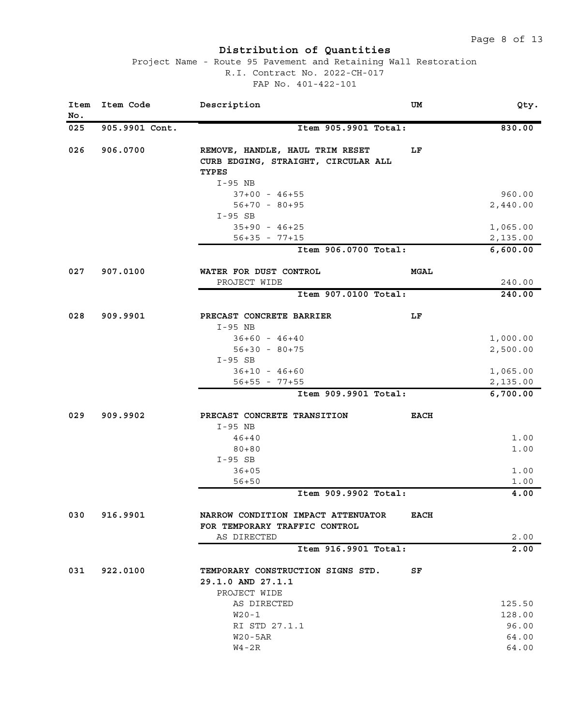| Item<br>No. | Item Code      | Description                                                                                         | UM          | Qty.     |
|-------------|----------------|-----------------------------------------------------------------------------------------------------|-------------|----------|
| 025         | 905.9901 Cont. | Item 905.9901 Total:                                                                                |             | 830.00   |
| 026         | 906.0700       | REMOVE, HANDLE, HAUL TRIM RESET<br>CURB EDGING, STRAIGHT, CIRCULAR ALL<br><b>TYPES</b><br>$I-95$ NB | LF.         |          |
|             |                | $37+00 - 46+55$                                                                                     |             | 960.00   |
|             |                | $56+70 - 80+95$                                                                                     |             | 2,440.00 |
|             |                | $I-95$ SB                                                                                           |             |          |
|             |                | $35+90 - 46+25$                                                                                     |             | 1,065.00 |
|             |                | $56+35 - 77+15$                                                                                     |             | 2,135.00 |
|             |                | Item 906.0700 Total:                                                                                |             | 6,600.00 |
| 027         | 907.0100       | WATER FOR DUST CONTROL                                                                              | <b>MGAL</b> |          |
|             |                | PROJECT WIDE                                                                                        |             | 240.00   |
|             |                | Item 907.0100 Total:                                                                                |             | 240.00   |
| 028         | 909.9901       | PRECAST CONCRETE BARRIER<br>$I-95$ NB                                                               | LF          |          |
|             |                | $36+60 - 46+40$                                                                                     |             | 1,000.00 |
|             |                | $56+30 - 80+75$                                                                                     |             | 2,500.00 |
|             |                | $I-95$ SB                                                                                           |             |          |
|             |                | $36+10 - 46+60$                                                                                     |             | 1,065.00 |
|             |                | $56+55 - 77+55$                                                                                     |             | 2,135.00 |
|             |                | Item 909.9901 Total:                                                                                |             | 6,700.00 |
| 029         | 909.9902       | PRECAST CONCRETE TRANSITION                                                                         | <b>EACH</b> |          |
|             |                | I-95 NB                                                                                             |             |          |
|             |                | $46 + 40$                                                                                           |             | 1.00     |
|             |                | $80 + 80$                                                                                           |             | 1.00     |
|             |                | $I-95$ SB                                                                                           |             |          |
|             |                | $36 + 05$                                                                                           |             | 1.00     |
|             |                | $56 + 50$<br>Item 909.9902 Total:                                                                   |             | 1.00     |
|             |                |                                                                                                     |             | 4.00     |
| 030         | 916.9901       | NARROW CONDITION IMPACT ATTENUATOR<br>FOR TEMPORARY TRAFFIC CONTROL                                 | <b>EACH</b> |          |
|             |                | AS DIRECTED                                                                                         |             | 2.00     |
|             |                | Item 916.9901 Total:                                                                                |             | 2.00     |
| 031         | 922.0100       | TEMPORARY CONSTRUCTION SIGNS STD.<br>29.1.0 AND 27.1.1<br>PROJECT WIDE                              | SF          |          |
|             |                | AS DIRECTED                                                                                         |             | 125.50   |
|             |                | $W20-1$                                                                                             |             | 128.00   |
|             |                | RI STD 27.1.1                                                                                       |             | 96.00    |
|             |                | $W20 - 5AR$                                                                                         |             | 64.00    |
|             |                | $W4 - 2R$                                                                                           |             | 64.00    |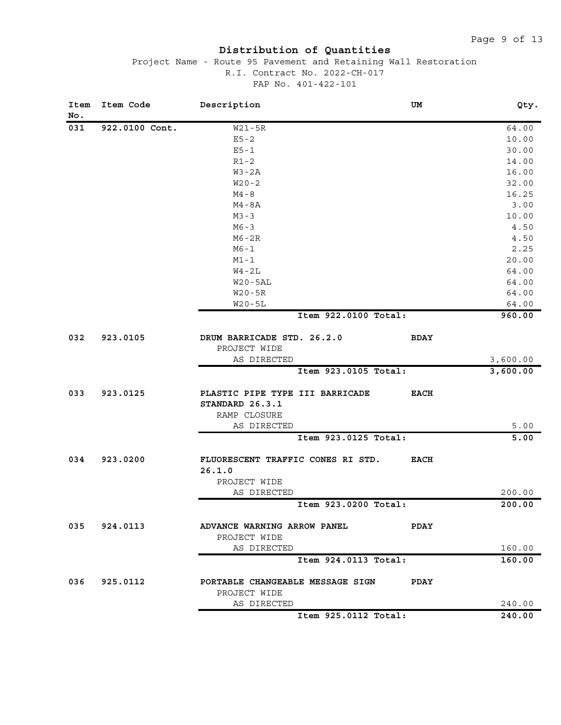| Item<br>No. | Item Code      | Description                       | UM          | Qty.     |
|-------------|----------------|-----------------------------------|-------------|----------|
| 031         | 922.0100 Cont. | $W21 - 5R$                        |             | 64.00    |
|             |                | $E5 - 2$                          |             | 10.00    |
|             |                | $E5 - 1$                          |             | 30.00    |
|             |                | $R1-2$                            |             | 14.00    |
|             |                | $W3 - 2A$                         |             | 16.00    |
|             |                | $W20 - 2$                         |             | 32.00    |
|             |                | $M4 - 8$                          |             | 16.25    |
|             |                | $M4 - 8A$                         |             | 3.00     |
|             |                | $M3 - 3$                          |             | 10.00    |
|             |                | $M6 - 3$                          |             | 4.50     |
|             |                | $MG-2R$                           |             | 4.50     |
|             |                | $M6 - 1$                          |             | 2.25     |
|             |                | $M1 - 1$                          |             | 20.00    |
|             |                | $W4 - 2L$                         |             | 64.00    |
|             |                | $W20 - 5AL$                       |             | 64.00    |
|             |                | $W20-5R$                          |             | 64.00    |
|             |                | $W20 - 5L$                        |             | 64.00    |
|             |                | Item 922.0100 Total:              |             | 960.00   |
| 032         | 923.0105       | DRUM BARRICADE STD. 26.2.0        | <b>BDAY</b> |          |
|             |                | PROJECT WIDE                      |             |          |
|             |                | AS DIRECTED                       |             | 3,600.00 |
|             |                | Item 923.0105 Total:              |             | 3,600.00 |
| 033         | 923.0125       | PLASTIC PIPE TYPE III BARRICADE   | <b>EACH</b> |          |
|             |                | STANDARD 26.3.1                   |             |          |
|             |                | RAMP CLOSURE                      |             |          |
|             |                | AS DIRECTED                       |             | 5.00     |
|             |                | Item 923.0125 Total:              |             | 5.00     |
| 034         | 923.0200       | FLUORESCENT TRAFFIC CONES RI STD. | <b>EACH</b> |          |
|             |                | 26.1.0                            |             |          |
|             |                | PROJECT WIDE                      |             |          |
|             |                | AS DIRECTED                       |             | 200.00   |
|             |                | Item 923.0200 Total:              |             | 200.00   |
| 035         | 924.0113       | ADVANCE WARNING ARROW PANEL       | <b>PDAY</b> |          |
|             |                | PROJECT WIDE                      |             |          |
|             |                | AS DIRECTED                       |             | 160.00   |
|             |                | Item 924.0113 Total:              |             | 160.00   |
| 036         | 925.0112       | PORTABLE CHANGEABLE MESSAGE SIGN  | PDAY        |          |
|             |                | PROJECT WIDE                      |             |          |
|             |                | AS DIRECTED                       |             | 240.00   |
|             |                | Item 925.0112 Total:              |             | 240.00   |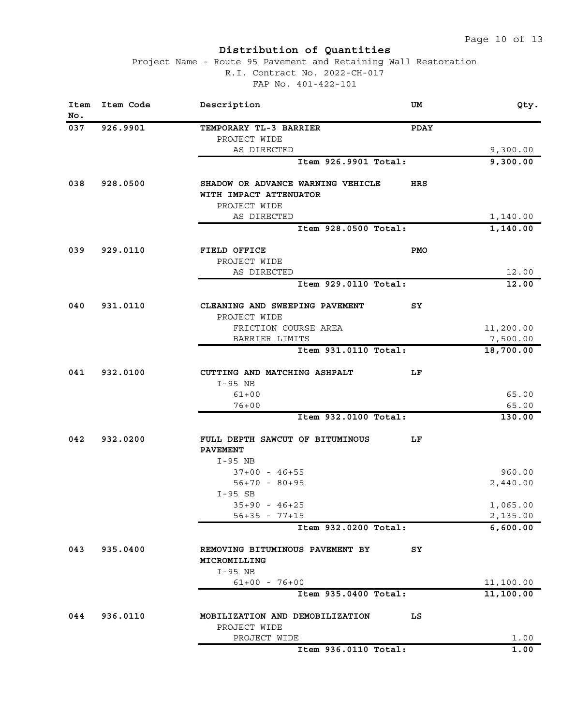| Item<br>No. | Item Code | Description                                                                 | UM          | Qty.                 |
|-------------|-----------|-----------------------------------------------------------------------------|-------------|----------------------|
| 037         | 926.9901  | TEMPORARY TL-3 BARRIER                                                      | <b>PDAY</b> |                      |
|             |           | PROJECT WIDE                                                                |             |                      |
|             |           | AS DIRECTED                                                                 |             | 9,300.00             |
|             |           | Item 926.9901 Total:                                                        |             | 9,300.00             |
| 038         | 928.0500  | SHADOW OR ADVANCE WARNING VEHICLE<br>WITH IMPACT ATTENUATOR<br>PROJECT WIDE | HRS         |                      |
|             |           | AS DIRECTED                                                                 |             | 1,140.00             |
|             |           | Item 928.0500 Total:                                                        |             | 1,140.00             |
|             |           |                                                                             |             |                      |
| 039         | 929.0110  | FIELD OFFICE<br>PROJECT WIDE                                                | <b>PMO</b>  |                      |
|             |           | AS DIRECTED                                                                 |             | 12.00                |
|             |           | Item 929.0110 Total:                                                        |             | 12.00                |
| 040         | 931.0110  | CLEANING AND SWEEPING PAVEMENT<br>PROJECT WIDE                              | SY          |                      |
|             |           | FRICTION COURSE AREA                                                        |             | 11,200.00            |
|             |           | BARRIER LIMITS                                                              |             | 7,500.00             |
|             |           | Item 931.0110 Total:                                                        |             | 18,700.00            |
| 041         | 932.0100  | CUTTING AND MATCHING ASHPALT<br>I-95 NB                                     | LF.         |                      |
|             |           | $61 + 00$                                                                   |             | 65.00                |
|             |           | $76 + 00$                                                                   |             | 65.00                |
|             |           | Item 932.0100 Total:                                                        |             | 130.00               |
| 042         | 932.0200  | FULL DEPTH SAWCUT OF BITUMINOUS<br><b>PAVEMENT</b>                          | LF.         |                      |
|             |           | I-95 NB                                                                     |             |                      |
|             |           | $37+00 - 46+55$                                                             |             | 960.00               |
|             |           | $56+70 - 80+95$                                                             |             | 2,440.00             |
|             |           | $I-95$ SB                                                                   |             |                      |
|             |           | $35+90 - 46+25$                                                             |             | 1,065.00             |
|             |           | $56+35 - 77+15$<br>Item 932.0200 Total:                                     |             | 2,135.00<br>6,600.00 |
|             |           |                                                                             |             |                      |
| 043         | 935.0400  | REMOVING BITUMINOUS PAVEMENT BY<br>MICROMILLING                             | SY          |                      |
|             |           | I-95 NB<br>$61+00 - 76+00$                                                  |             | 11,100.00            |
|             |           | Item 935.0400 Total:                                                        |             | 11,100.00            |
| 044         | 936.0110  | MOBILIZATION AND DEMOBILIZATION                                             | LS          |                      |
|             |           | PROJECT WIDE                                                                |             |                      |
|             |           | PROJECT WIDE                                                                |             | 1.00                 |
|             |           | Item 936.0110 Total:                                                        |             | 1.00                 |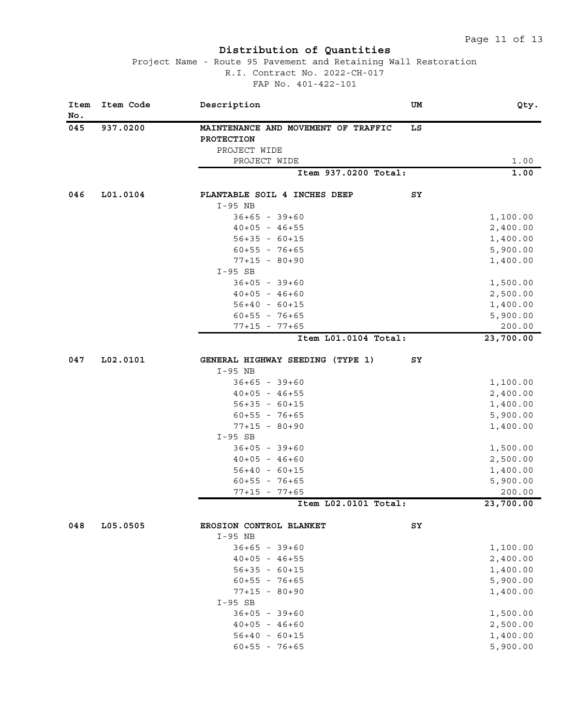| Item<br>No. | Item Code | Description                         | UM | Qty.      |
|-------------|-----------|-------------------------------------|----|-----------|
| 045         | 937.0200  | MAINTENANCE AND MOVEMENT OF TRAFFIC | LS |           |
|             |           | PROTECTION                          |    |           |
|             |           | PROJECT WIDE                        |    |           |
|             |           | PROJECT WIDE                        |    | 1.00      |
|             |           | Item 937.0200 Total:                |    | 1.00      |
| 046         | L01.0104  | PLANTABLE SOIL 4 INCHES DEEP        | SY |           |
|             |           | $I-95$ NB                           |    |           |
|             |           | $36+65 - 39+60$                     |    | 1,100.00  |
|             |           | $40+05 - 46+55$                     |    | 2,400.00  |
|             |           | $56+35 - 60+15$                     |    | 1,400.00  |
|             |           | $60+55 - 76+65$                     |    | 5,900.00  |
|             |           | $77+15 - 80+90$                     |    | 1,400.00  |
|             |           | $I-95$ SB                           |    |           |
|             |           | $36+05 - 39+60$                     |    | 1,500.00  |
|             |           | $40+05 - 46+60$                     |    | 2,500.00  |
|             |           | $56+40 - 60+15$                     |    | 1,400.00  |
|             |           | $60+55 - 76+65$                     |    | 5,900.00  |
|             |           | $77+15 - 77+65$                     |    | 200.00    |
|             |           | Item L01.0104 Total:                |    | 23,700.00 |
| 047         | L02.0101  | GENERAL HIGHWAY SEEDING (TYPE 1)    | SY |           |
|             |           | $I-95$ NB                           |    |           |
|             |           | $36+65 - 39+60$                     |    | 1,100.00  |
|             |           | $40+05 - 46+55$                     |    | 2,400.00  |
|             |           | $56+35 - 60+15$                     |    | 1,400.00  |
|             |           | $60+55 - 76+65$                     |    | 5,900.00  |
|             |           | $77+15 - 80+90$                     |    | 1,400.00  |
|             |           | $I-95$ SB                           |    |           |
|             |           | $36+05 - 39+60$                     |    | 1,500.00  |
|             |           | $40+05 - 46+60$                     |    | 2,500.00  |
|             |           | $56+40 - 60+15$                     |    | 1,400.00  |
|             |           | $60+55 - 76+65$                     |    | 5,900.00  |
|             |           | $77+15 - 77+65$                     |    | 200.00    |
|             |           | Item L02.0101 Total:                |    | 23,700.00 |
| 048         | L05.0505  | EROSION CONTROL BLANKET             | SY |           |
|             |           | $I-95$ NB                           |    |           |
|             |           | $36+65 - 39+60$                     |    | 1,100.00  |
|             |           | $40+05 - 46+55$                     |    | 2,400.00  |
|             |           | $56+35 - 60+15$                     |    | 1,400.00  |
|             |           | $60+55 - 76+65$                     |    | 5,900.00  |
|             |           | $77+15 - 80+90$                     |    | 1,400.00  |
|             |           | $I-95$ SB                           |    |           |
|             |           | $36+05 - 39+60$                     |    | 1,500.00  |
|             |           | $40+05 - 46+60$                     |    | 2,500.00  |
|             |           | $56+40 - 60+15$                     |    | 1,400.00  |
|             |           | $60+55 - 76+65$                     |    | 5,900.00  |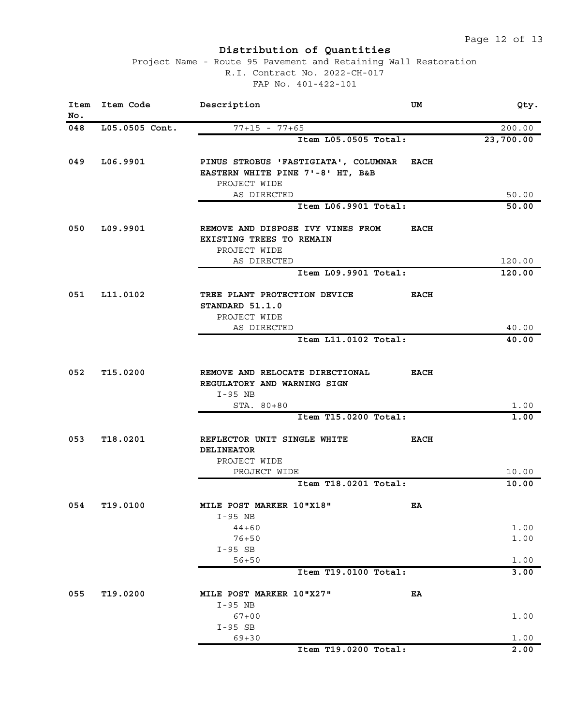| Item<br>No. | Item Code      | Description                                                                                                  | UM          | Qty.             |
|-------------|----------------|--------------------------------------------------------------------------------------------------------------|-------------|------------------|
| 048         | L05.0505 Cont. | $77+15 - 77+65$                                                                                              |             | 200.00           |
|             |                | Item L05.0505 Total:                                                                                         |             | 23,700.00        |
| 049         | L06.9901       | PINUS STROBUS 'FASTIGIATA', COLUMNAR EACH<br>EASTERN WHITE PINE 7'-8' HT, B&B<br>PROJECT WIDE<br>AS DIRECTED |             |                  |
|             |                | Item L06.9901 Total:                                                                                         |             | 50.00<br>50.00   |
| 050         | L09.9901       | REMOVE AND DISPOSE IVY VINES FROM<br>EXISTING TREES TO REMAIN                                                | <b>EACH</b> |                  |
|             |                | PROJECT WIDE                                                                                                 |             |                  |
|             |                | AS DIRECTED<br>Item L09.9901 Total:                                                                          |             | 120.00<br>120.00 |
|             |                |                                                                                                              |             |                  |
| 051         | L11.0102       | TREE PLANT PROTECTION DEVICE<br>STANDARD 51.1.0                                                              | <b>EACH</b> |                  |
|             |                | PROJECT WIDE<br>AS DIRECTED                                                                                  |             | 40.00            |
|             |                | Item L11.0102 Total:                                                                                         |             | 40.00            |
| 052         | T15.0200       | REMOVE AND RELOCATE DIRECTIONAL                                                                              | <b>EACH</b> |                  |
|             |                | REGULATORY AND WARNING SIGN<br>$I-95$ NB<br>STA. 80+80                                                       |             | 1.00             |
|             |                | Item T15.0200 Total:                                                                                         |             | 1.00             |
|             |                |                                                                                                              |             |                  |
| 053         | T18.0201       | REFLECTOR UNIT SINGLE WHITE<br><b>DELINEATOR</b><br>PROJECT WIDE<br>PROJECT WIDE                             | <b>EACH</b> |                  |
|             |                | Item T18.0201 Total:                                                                                         |             | 10.00<br>10.00   |
|             |                |                                                                                                              |             |                  |
| 054         | T19.0100       | MILE POST MARKER 10"X18"<br>$I-95 NB$                                                                        | EA          |                  |
|             |                | $44 + 60$<br>$76 + 50$                                                                                       |             | 1.00<br>1.00     |
|             |                | $I-95$ SB<br>$56 + 50$                                                                                       |             | 1.00             |
|             |                | Item T19.0100 Total:                                                                                         |             | 3.00             |
| 055         | T19.0200       | MILE POST MARKER 10"X27"                                                                                     | EA          |                  |
|             |                | $I-95$ NB                                                                                                    |             |                  |
|             |                | $67 + 00$<br>$I-95$ SB                                                                                       |             | 1.00             |
|             |                | $69 + 30$                                                                                                    |             | 1.00             |
|             |                | Item T19.0200 Total:                                                                                         |             | 2.00             |